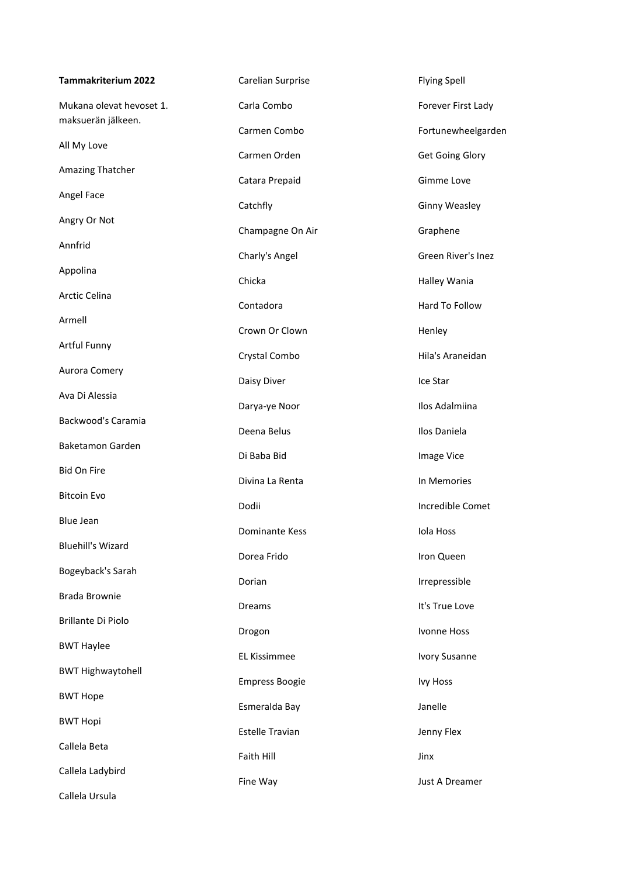| <b>Tammakriterium 2022</b>                     | Carelian Surprise      | <b>Flying Spell</b>    |
|------------------------------------------------|------------------------|------------------------|
| Mukana olevat hevoset 1.<br>maksuerän jälkeen. | Carla Combo            | Forever First Lady     |
|                                                | Carmen Combo           | Fortunewheelgarden     |
| All My Love                                    | Carmen Orden           | <b>Get Going Glory</b> |
| Amazing Thatcher                               | Catara Prepaid         | Gimme Love             |
| Angel Face                                     | Catchfly               | <b>Ginny Weasley</b>   |
| Angry Or Not                                   | Champagne On Air       | Graphene               |
| Annfrid                                        | Charly's Angel         | Green River's Inez     |
| Appolina                                       | Chicka                 | Halley Wania           |
| Arctic Celina                                  | Contadora              | Hard To Follow         |
| Armell                                         | Crown Or Clown         | Henley                 |
| Artful Funny                                   | Crystal Combo          | Hila's Araneidan       |
| Aurora Comery                                  | Daisy Diver            | Ice Star               |
| Ava Di Alessia                                 | Darya-ye Noor          | Ilos Adalmiina         |
| Backwood's Caramia                             | Deena Belus            | Ilos Daniela           |
| Baketamon Garden                               | Di Baba Bid            | Image Vice             |
| <b>Bid On Fire</b>                             | Divina La Renta        | In Memories            |
| <b>Bitcoin Evo</b>                             | Dodii                  | Incredible Comet       |
| <b>Blue Jean</b>                               | Dominante Kess         | Iola Hoss              |
| <b>Bluehill's Wizard</b>                       | Dorea Frido            | Iron Queen             |
| Bogeyback's Sarah                              | Dorian                 | Irrepressible          |
| Brada Brownie                                  | <b>Dreams</b>          | It's True Love         |
| Brillante Di Piolo                             | Drogon                 | Ivonne Hoss            |
| <b>BWT Haylee</b>                              | EL Kissimmee           | <b>Ivory Susanne</b>   |
| <b>BWT Highwaytohell</b>                       | <b>Empress Boogie</b>  | <b>Ivy Hoss</b>        |
| <b>BWT Hope</b>                                | Esmeralda Bay          | Janelle                |
| <b>BWT Hopi</b>                                | <b>Estelle Travian</b> | Jenny Flex             |
| Callela Beta                                   | Faith Hill             | Jinx                   |
| Callela Ladybird                               | Fine Way               | Just A Dreamer         |
| Callela Ursula                                 |                        |                        |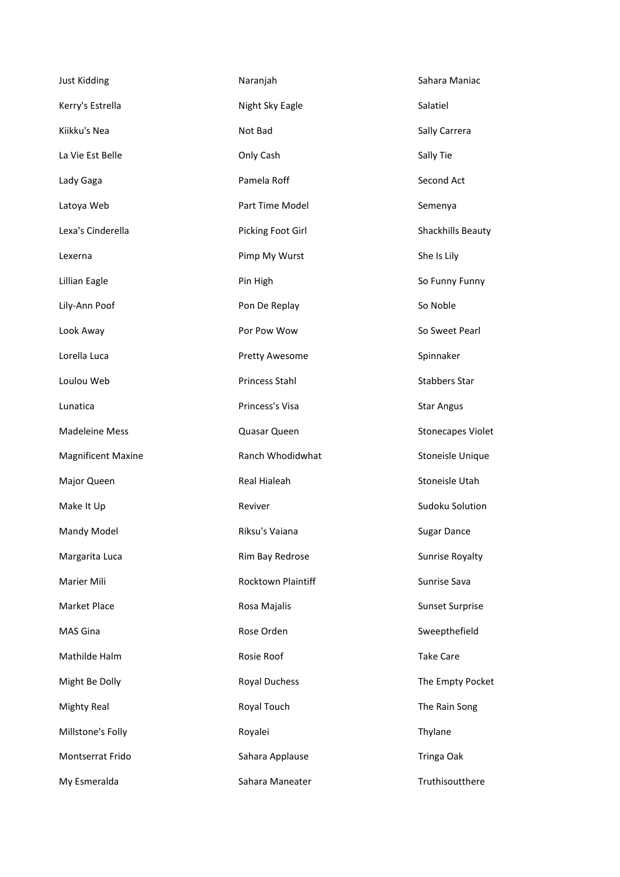| <b>Just Kidding</b>       | Naranjah             | Sahara Maniac            |
|---------------------------|----------------------|--------------------------|
| Kerry's Estrella          | Night Sky Eagle      | Salatiel                 |
| Kiikku's Nea              | Not Bad              | Sally Carrera            |
| La Vie Est Belle          | Only Cash            | Sally Tie                |
| Lady Gaga                 | Pamela Roff          | Second Act               |
| Latoya Web                | Part Time Model      | Semenya                  |
| Lexa's Cinderella         | Picking Foot Girl    | Shackhills Beauty        |
| Lexerna                   | Pimp My Wurst        | She Is Lily              |
| Lillian Eagle             | Pin High             | So Funny Funny           |
| Lily-Ann Poof             | Pon De Replay        | So Noble                 |
| Look Away                 | Por Pow Wow          | So Sweet Pearl           |
| Lorella Luca              | Pretty Awesome       | Spinnaker                |
| Loulou Web                | Princess Stahl       | <b>Stabbers Star</b>     |
| Lunatica                  | Princess's Visa      | <b>Star Angus</b>        |
| <b>Madeleine Mess</b>     | Quasar Queen         | <b>Stonecapes Violet</b> |
| <b>Magnificent Maxine</b> | Ranch Whodidwhat     | Stoneisle Unique         |
| Major Queen               | Real Hialeah         | Stoneisle Utah           |
| Make It Up                | Reviver              | Sudoku Solution          |
| Mandy Model               | Riksu's Vaiana       | <b>Sugar Dance</b>       |
| Margarita Luca            | Rim Bay Redrose      | Sunrise Royalty          |
| Marier Mili               | Rocktown Plaintiff   | Sunrise Sava             |
| Market Place              | Rosa Majalis         | <b>Sunset Surprise</b>   |
| <b>MAS Gina</b>           | Rose Orden           | Sweepthefield            |
| Mathilde Halm             | Rosie Roof           | <b>Take Care</b>         |
| Might Be Dolly            | <b>Royal Duchess</b> | The Empty Pocket         |
| <b>Mighty Real</b>        | Royal Touch          | The Rain Song            |
| Millstone's Folly         | Royalei              | Thylane                  |
| Montserrat Frido          | Sahara Applause      | Tringa Oak               |
| My Esmeralda              | Sahara Maneater      | Truthisoutthere          |